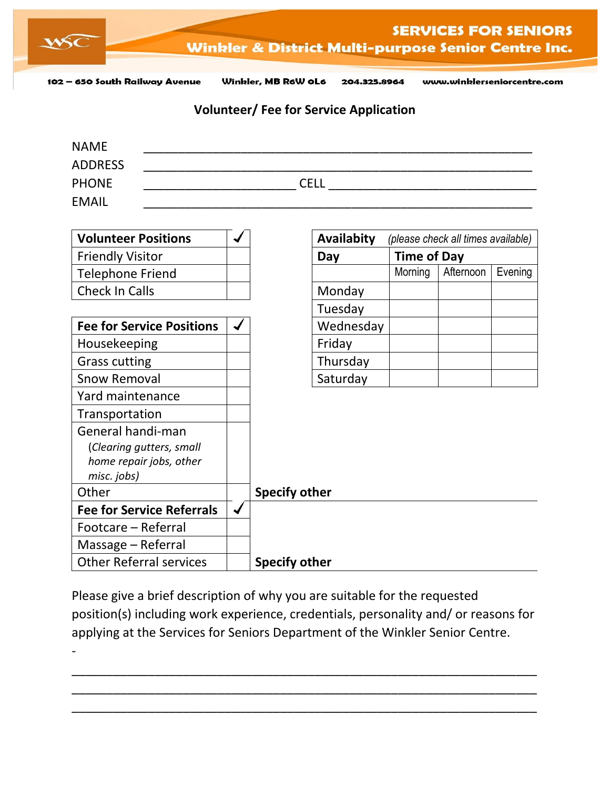

102 - 650 South Railway Avenue

Winkler, MB R6W OL6 204.325.8964 www.winklerseniorcentre.com

## **Volunteer/ Fee for Service Application**

| <b>NAME</b>    |             |
|----------------|-------------|
| <b>ADDRESS</b> |             |
| <b>PHONE</b>   | <b>CELL</b> |
| <b>EMAIL</b>   |             |

| <b>Volunteer Positions</b>       |   |                      | Availabity |                    | (please check all times available) |         |
|----------------------------------|---|----------------------|------------|--------------------|------------------------------------|---------|
| <b>Friendly Visitor</b>          |   |                      | Day        | <b>Time of Day</b> |                                    |         |
| <b>Telephone Friend</b>          |   |                      |            | Morning            | Afternoon                          | Evening |
| Check In Calls                   |   |                      | Monday     |                    |                                    |         |
|                                  |   |                      | Tuesday    |                    |                                    |         |
| <b>Fee for Service Positions</b> |   |                      | Wednesday  |                    |                                    |         |
| Housekeeping                     |   |                      | Friday     |                    |                                    |         |
| <b>Grass cutting</b>             |   |                      | Thursday   |                    |                                    |         |
| <b>Snow Removal</b>              |   |                      | Saturday   |                    |                                    |         |
| Yard maintenance                 |   |                      |            |                    |                                    |         |
| Transportation                   |   |                      |            |                    |                                    |         |
| General handi-man                |   |                      |            |                    |                                    |         |
| (Clearing gutters, small         |   |                      |            |                    |                                    |         |
| home repair jobs, other          |   |                      |            |                    |                                    |         |
| misc. jobs)                      |   |                      |            |                    |                                    |         |
| Other                            |   | <b>Specify other</b> |            |                    |                                    |         |
| <b>Fee for Service Referrals</b> | ں |                      |            |                    |                                    |         |
| Footcare - Referral              |   |                      |            |                    |                                    |         |
| Massage – Referral               |   |                      |            |                    |                                    |         |
| <b>Other Referral services</b>   |   | <b>Specify other</b> |            |                    |                                    |         |

Please give a brief description of why you are suitable for the requested position(s) including work experience, credentials, personality and/ or reasons for applying at the Services for Seniors Department of the Winkler Senior Centre. -

\_\_\_\_\_\_\_\_\_\_\_\_\_\_\_\_\_\_\_\_\_\_\_\_\_\_\_\_\_\_\_\_\_\_\_\_\_\_\_\_\_\_\_\_\_\_\_\_\_\_\_\_\_\_\_\_\_\_\_\_\_\_\_\_\_\_\_ \_\_\_\_\_\_\_\_\_\_\_\_\_\_\_\_\_\_\_\_\_\_\_\_\_\_\_\_\_\_\_\_\_\_\_\_\_\_\_\_\_\_\_\_\_\_\_\_\_\_\_\_\_\_\_\_\_\_\_\_\_\_\_\_\_\_\_ \_\_\_\_\_\_\_\_\_\_\_\_\_\_\_\_\_\_\_\_\_\_\_\_\_\_\_\_\_\_\_\_\_\_\_\_\_\_\_\_\_\_\_\_\_\_\_\_\_\_\_\_\_\_\_\_\_\_\_\_\_\_\_\_\_\_\_